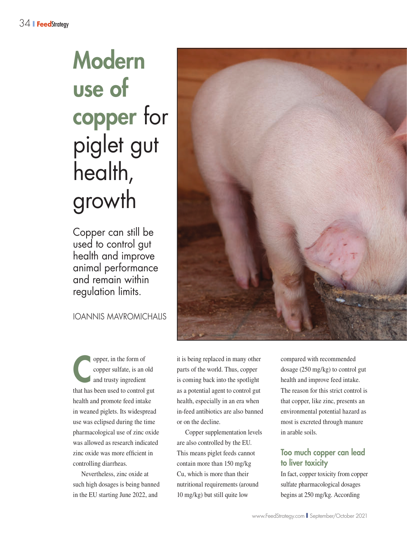# Modern use of copper for piglet gut health, growth

Copper can still be used to control gut health and improve animal performance and remain within regulation limits.

IOANNIS MAVROMICHALIS

**Copper**, in the form of<br>
copper sulfate, is an c<br>
and trusty ingredient copper sulfate, is an old that has been used to control gut health and promote feed intake in weaned piglets. Its widespread use was eclipsed during the time pharmacological use of zinc oxide was allowed as research indicated zinc oxide was more efficient in controlling diarrheas.

Nevertheless, zinc oxide at such high dosages is being banned in the EU starting June 2022, and

it is being replaced in many other parts of the world. Thus, copper is coming back into the spotlight as a potential agent to control gut health, especially in an era when in-feed antibiotics are also banned or on the decline.

Copper supplementation levels are also controlled by the EU. This means piglet feeds cannot contain more than 150 mg/kg Cu, which is more than their nutritional requirements (around 10 mg/kg) but still quite low

compared with recommended dosage (250 mg/kg) to control gut health and improve feed intake. The reason for this strict control is that copper, like zinc, presents an environmental potential hazard as most is excreted through manure in arable soils.

## Too much copper can lead to liver toxicity

In fact, copper toxicity from copper sulfate pharmacological dosages begins at 250 mg/kg. According

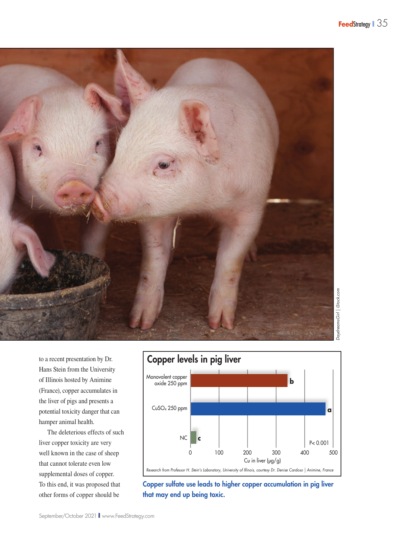

to a recent presentation by Dr. Hans Stein from the University of Illinois hosted by Animine (France), copper accumulates in the liver of pigs and presents a potential toxicity danger that can hamper animal health.

The deleterious effects of such liver copper toxicity are very well known in the case of sheep that cannot tolerate even low supplemental doses of copper. To this end, it was proposed that other forms of copper should be



Copper sulfate use leads to higher copper accumulation in pig liver that may end up being toxic.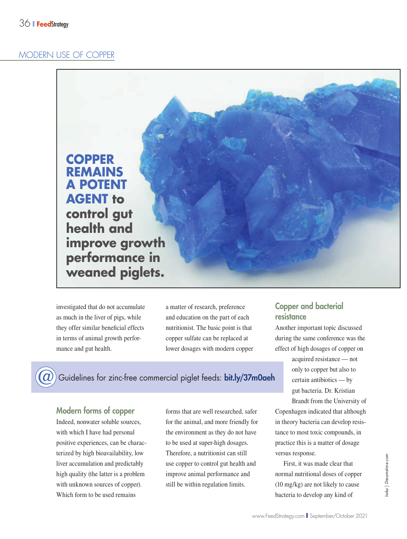#### MODERN USE OF COPPER



investigated that do not accumulate as much in the liver of pigs, while they offer similar beneficial effects in terms of animal growth performance and gut health.

a matter of research, preference and education on the part of each nutritionist. The basic point is that copper sulfate can be replaced at lower dosages with modern copper

Guidelines for zinc-free commercial piglet feeds: bit.ly/37m0aeh

## Modern forms of copper

Indeed, nonwater soluble sources, with which I have had personal positive experiences, can be characterized by high bioavailability, low liver accumulation and predictably high quality (the latter is a problem with unknown sources of copper). Which form to be used remains

forms that are well researched, safer for the animal, and more friendly for the environment as they do not have to be used at super-high dosages. Therefore, a nutritionist can still use copper to control gut health and improve animal performance and still be within regulation limits.

## Copper and bacterial resistance

Another important topic discussed during the same conference was the effect of high dosages of copper on

> acquired resistance — not only to copper but also to certain antibiotics — by gut bacteria. Dr. Kristian

Brandt from the University of Copenhagen indicated that although in theory bacteria can develop resistance to most toxic compounds, in practice this is a matter of dosage versus response.

First, it was made clear that normal nutritional doses of copper (10 mg/kg) are not likely to cause bacteria to develop any kind of